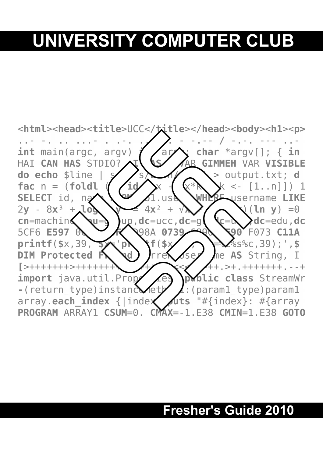# **UNIVERSITY COMPUTER CLUB**



## **Fresher's Guide 2010**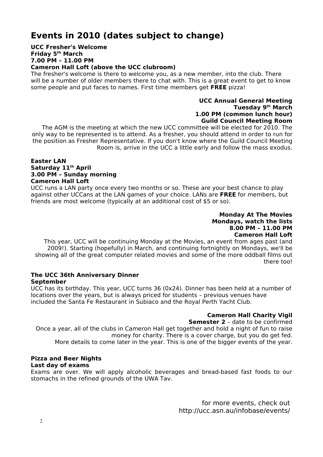### **Events in 2010 (dates subject to change)**

**UCC Fresher's Welcome Friday 5th March 7.00 PM – 11.00 PM**

**Cameron Hall Loft (above the UCC clubroom)**

The fresher's welcome is there to welcome you, as a new member, into the club. There will be a number of older members there to chat with. This is a great event to get to know some people and put faces to names. First time members get **FREE** pizza!

#### **UCC Annual General Meeting Tuesday 9th March 1.00 PM (common lunch hour) Guild Council Meeting Room**

The AGM is the meeting at which the new UCC committee will be elected for 2010. The only way to be represented is to attend. As a fresher, you should attend in order to run for the position as Fresher Representative. If you don't know where the Guild Council Meeting Room is, arrive in the UCC a little early and follow the mass exodus.

#### **Easter LAN Saturday 11th April 3.00 PM – Sunday morning Cameron Hall Loft**

UCC runs a LAN party once every two months or so. These are your best chance to play against other UCCans at the LAN games of your choice. LANs are **FREE** for members, but friends are most welcome (typically at an additional cost of \$5 or so).

#### **Monday At The Movies Mondays, watch the lists 8.00 PM – 11.00 PM Cameron Hall Loft**

This year, UCC will be continuing Monday at the Movies, an event from ages past (and 2009!). Starting (hopefully) in March, and continuing fortnightly on Mondays, we'll be showing all of the great computer related movies and some of the more oddball films out there too!

#### **The UCC 36th Anniversary Dinner September**

UCC has its birthday. This year, UCC turns 36 (0x24). Dinner has been held at a number of locations over the years, but is always priced for students – previous venues have included the Santa Fe Restaurant in Subiaco and the Royal Perth Yacht Club.

#### **Cameron Hall Charity Vigil**

**Semester 2** – date to be confirmed

Once a year, all of the clubs in Cameron Hall get together and hold a night of fun to raise money for charity. There is a cover charge, but you do get fed. More details to come later in the year. This is one of the bigger events of the year.

#### **Pizza and Beer Nights**

#### **Last day of exams**

Exams are over. We will apply alcoholic beverages and bread-based fast foods to our stomachs in the refined grounds of the UWA Tav.

> for more events, check out http://ucc.asn.au/infobase/events/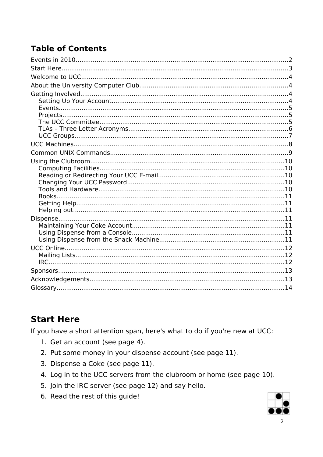### **Table of Contents**

### **Start Here**

If you have a short attention span, here's what to do if you're new at UCC:

- 1. Get an account (see page 4).
- 2. Put some money in your dispense account (see page 11).
- 3. Dispense a Coke (see page 11).
- 4. Log in to the UCC servers from the clubroom or home (see page 10).
- 5. Join the IRC server (see page 12) and say hello.
- 6. Read the rest of this guide!

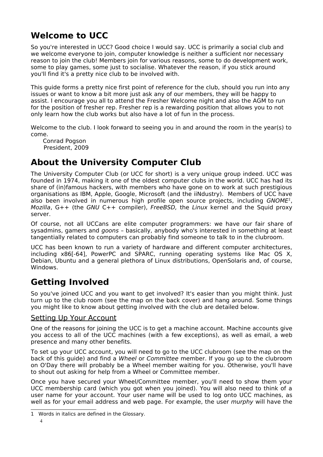### **Welcome to UCC**

So you're interested in UCC? Good choice I would say. UCC is primarily a social club and we welcome everyone to join, computer knowledge is neither a sufficient nor necessary reason to join the club! Members join for various reasons, some to do development work, some to play games, some just to socialise. Whatever the reason, if you stick around you'll find it's a pretty nice club to be involved with.

This guide forms a pretty nice first point of reference for the club, should you run into any issues or want to know a bit more just ask any of our members, they will be happy to assist. I encourage you all to attend the Fresher Welcome night and also the AGM to run for the position of fresher rep. Fresher rep is a rewarding position that allows you to not only learn how the club works but also have a lot of fun in the process.

Welcome to the club. I look forward to seeing you in and around the room in the year(s) to come.

Conrad Pogson President, 2009

### **About the University Computer Club**

The University Computer Club (or UCC for short) is a very unique group indeed. UCC was founded in 1974, making it one of the oldest computer clubs in the world. UCC has had its share of (in)famous hackers, with members who have gone on to work at such prestigious organisations as IBM, Apple, Google, Microsoft (and the iiNdustry). Members of UCC have also been involved in numerous high profile open source projects, including GNOME<sup>[1](#page-3-0)</sup>, Mozilla,  $G++$  (the GNU  $C++$  compiler), FreeBSD, the Linux kernel and the Squid proxy server.

Of course, not all UCCans are elite computer programmers: we have our fair share of sysadmins, gamers and goons – basically, anybody who's interested in something at least tangentially related to computers can probably find someone to talk to in the clubroom.

UCC has been known to run a variety of hardware and different computer architectures, including x86[-64], PowerPC and SPARC, running operating systems like Mac OS X, Debian, Ubuntu and a general plethora of Linux distributions, OpenSolaris and, of course, Windows.

### **Getting Involved**

So you've joined UCC and you want to get involved? It's easier than you might think. Just turn up to the club room (see the map on the back cover) and hang around. Some things you might like to know about getting involved with the club are detailed below.

#### Setting Up Your Account

One of the reasons for joining the UCC is to get a machine account. Machine accounts give you access to all of the UCC machines (with a few exceptions), as well as email, a web presence and many other benefits.

To set up your UCC account, you will need to go to the UCC clubroom (see the map on the back of this guide) and find a Wheel or Committee member. If you go up to the clubroom on O'Day there will probably be a Wheel member waiting for you. Otherwise, you'll have to shout out asking for help from a Wheel or Committee member.

Once you have secured your Wheel/Committee member, you'll need to show them your UCC membership card (which you got when you joined). You will also need to think of a user name for your account. Your user name will be used to log onto UCC machines, as well as for your email address and web page. For example, the user *murphy* will have the

<span id="page-3-0"></span><sup>1</sup> Words in italics are defined in the Glossary.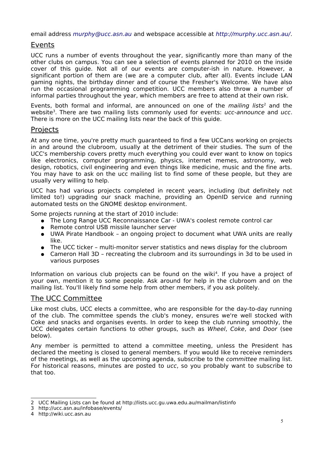email address [murphy@ucc.asn.au](mailto:murphy@ucc.asn.au) and webspace accessible at <http://murphy.ucc.asn.au/>.

#### Events

UCC runs a number of events throughout the year, significantly more than many of the other clubs on campus. You can see a selection of events planned for 2010 on the inside cover of this guide. Not all of our events are computer-ish in nature. However, a significant portion of them are (we are a computer club, after all). Events include LAN gaming nights, the birthday dinner and of course the Fresher's Welcome. We have also run the occasional programming competition. UCC members also throw a number of informal parties throughout the year, which members are free to attend at their own risk.

Events, both formal and informal, are announced on one of the *mailing lists*<sup>[2](#page-4-0)</sup> and the website<sup>[3](#page-4-1)</sup>. There are two mailing lists commonly used for events: ucc-announce and ucc. There is more on the UCC mailing lists near the back of this guide.

#### **Projects**

At any one time, you're pretty much guaranteed to find a few UCCans working on projects in and around the clubroom, usually at the detriment of their studies. The sum of the UCC's membership covers pretty much everything you could ever want to know on topics like electronics, computer programming, physics, internet memes, astronomy, web design, robotics, civil engineering and even things like medicine, music and the fine arts. You may have to ask on the ucc mailing list to find some of these people, but they are usually very willing to help.

UCC has had various projects completed in recent years, including (but definitely not limited to!) upgrading our snack machine, providing an OpenID service and running automated tests on the GNOME desktop environment.

Some projects running at the start of 2010 include:

- The Long Range UCC Reconnaissance Car UWA's coolest remote control car
- Remote control USB missile launcher server
- UWA Pirate Handbook an ongoing project to document what UWA units are really like.
- The UCC ticker multi-monitor server statistics and news display for the clubroom
- Cameron Hall 3D recreating the clubroom and its surroundings in 3d to be used in various purposes

Information on various club projects can be found on the wiki<sup>[4](#page-4-2)</sup>. If you have a project of your own, mention it to some people. Ask around for help in the clubroom and on the mailing list. You'll likely find some help from other members, if you ask politely.

#### The UCC Committee

Like most clubs, UCC elects a committee, who are responsible for the day-to-day running of the club. The committee spends the club's money, ensures we're well stocked with Coke and snacks and organises events. In order to keep the club running smoothly, the UCC delegates certain functions to other groups, such as Wheel, Coke, and Door (see below).

Any member is permitted to attend a committee meeting, unless the President has declared the meeting is closed to general members. If you would like to receive reminders of the meetings, as well as the upcoming agenda, subscribe to the committee mailing list. For historical reasons, minutes are posted to ucc, so you probably want to subscribe to that too.

<span id="page-4-0"></span><sup>2</sup> UCC Mailing Lists can be found at http://lists.ucc.gu.uwa.edu.au/mailman/listinfo

<span id="page-4-1"></span><sup>3</sup> http://ucc.asn.au/infobase/events/

<span id="page-4-2"></span><sup>4</sup> http://wiki.ucc.asn.au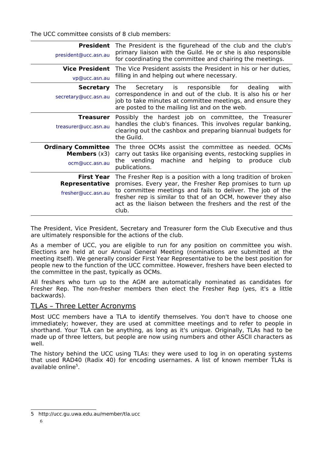The UCC committee consists of 8 club members:

| President<br>president@ucc.asn.au                                    | The President is the figurehead of the club and the club's<br>primary liaison with the Guild. He or she is also responsible<br>for coordinating the committee and chairing the meetings.                                                                                                                                        |
|----------------------------------------------------------------------|---------------------------------------------------------------------------------------------------------------------------------------------------------------------------------------------------------------------------------------------------------------------------------------------------------------------------------|
| <b>Vice President</b><br>vp@ucc.asn.au                               | The Vice President assists the President in his or her duties,<br>filling in and helping out where necessary.                                                                                                                                                                                                                   |
| <b>Secretary</b><br>secretary@ucc.asn.au                             | with<br>Secretary is responsible<br>for<br>The<br>dealing<br>correspondence in and out of the club. It is also his or her<br>job to take minutes at committee meetings, and ensure they<br>are posted to the mailing list and on the web.                                                                                       |
| Treasurer<br>treasurer@ucc.asn.au                                    | Possibly the hardest job on committee, the Treasurer<br>handles the club's finances. This involves regular banking,<br>clearing out the cashbox and preparing biannual budgets for<br>the Guild.                                                                                                                                |
| <b>Ordinary Committee</b><br><b>Members</b> $(x3)$<br>ocm@ucc.asn.au | The three OCMs assist the committee as needed. OCMs<br>carry out tasks like organising events, restocking supplies in<br>machine and helping to produce<br>the vending<br>club<br>publications.                                                                                                                                 |
| <b>First Year</b><br><b>Representative</b><br>fresher@ucc.asn.au     | The Fresher Rep is a position with a long tradition of broken<br>promises. Every year, the Fresher Rep promises to turn up<br>to committee meetings and fails to deliver. The job of the<br>fresher rep is similar to that of an OCM, however they also<br>act as the liaison between the freshers and the rest of the<br>club. |

The President, Vice President, Secretary and Treasurer form the Club Executive and thus are ultimately responsible for the actions of the club.

As a member of UCC, you are eligible to run for any position on committee you wish. Elections are held at our Annual General Meeting (nominations are submitted at the meeting itself). We generally consider First Year Representative to be the best position for people new to the function of the UCC committee. However, freshers have been elected to the committee in the past, typically as OCMs.

All freshers who turn up to the AGM are automatically nominated as candidates for Fresher Rep. The non-fresher members then elect the Fresher Rep (yes, it's a little backwards).

#### TLAs – Three Letter Acronyms

Most UCC members have a TLA to identify themselves. You don't have to choose one immediately; however, they are used at committee meetings and to refer to people in shorthand. Your TLA can be anything, as long as it's unique. Originally, TLAs had to be made up of three letters, but people are now using numbers and other ASCII characters as well.

The history behind the UCC using TLAs: they were used to log in on operating systems that used RAD40 (Radix 40) for encoding usernames. A list of known member TLAs is available online<sup>[5](#page-5-0)</sup>.

<span id="page-5-0"></span><sup>5</sup> http://ucc.gu.uwa.edu.au/member/tla.ucc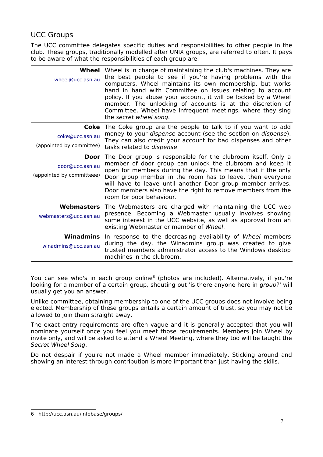#### UCC Groups

The UCC committee delegates specific duties and responsibilities to other people in the club. These groups, traditionally modelled after UNIX groups, are referred to often. It pays to be aware of what the responsibilities of each group are.

| Wheel<br>wheel@ucc.asn.au                            | Wheel is in charge of maintaining the club's machines. They are<br>the best people to see if you're having problems with the<br>computers. Wheel maintains its own membership, but works<br>hand in hand with Committee on issues relating to account<br>policy. If you abuse your account, it will be locked by a Wheel<br>member. The unlocking of accounts is at the discretion of<br>Committee. Wheel have infrequent meetings, where they sing<br>the secret wheel song. |
|------------------------------------------------------|-------------------------------------------------------------------------------------------------------------------------------------------------------------------------------------------------------------------------------------------------------------------------------------------------------------------------------------------------------------------------------------------------------------------------------------------------------------------------------|
| Coke<br>coke@ucc.asn.au<br>(appointed by committee)  | The Coke group are the people to talk to if you want to add<br>money to your dispense account (see the section on dispense).<br>They can also credit your account for bad dispenses and other<br>tasks related to dispense.                                                                                                                                                                                                                                                   |
| Door<br>door@ucc.asn.au<br>(appointed by committeee) | The Door group is responsible for the clubroom itself. Only a<br>member of door group can unlock the clubroom and keep it<br>open for members during the day. This means that if the only<br>Door group member in the room has to leave, then everyone<br>will have to leave until another Door group member arrives.<br>Door members also have the right to remove members from the<br>room for poor behaviour.                                                              |
| webmasters@ucc.asn.au                                | <b>Webmasters</b> The Webmasters are charged with maintaining the UCC web<br>presence. Becoming a Webmaster usually involves showing<br>some interest in the UCC website, as well as approval from an<br>existing Webmaster or member of Wheel.                                                                                                                                                                                                                               |
| Winadmins<br>winadmins@ucc.asn.au                    | In response to the decreasing availability of Wheel members<br>during the day, the Winadmins group was created to give<br>trusted members administrator access to the Windows desktop<br>machines in the clubroom.                                                                                                                                                                                                                                                            |

You can see who's in each group online<sup>[6](#page-6-0)</sup> (photos are included). Alternatively, if you're looking for a member of a certain group, shouting out 'is there anyone here in group?' will usually get you an answer.

Unlike committee, obtaining membership to one of the UCC groups does not involve being elected. Membership of these groups entails a certain amount of trust, so you may not be allowed to join them straight away.

The exact entry requirements are often vague and it is generally accepted that you will nominate yourself once you feel you meet those requirements. Members join Wheel by invite only, and will be asked to attend a Wheel Meeting, where they too will be taught the Secret Wheel Song.

Do not despair if you're not made a Wheel member immediately. Sticking around and showing an interest through contribution is more important than just having the skills.

<span id="page-6-0"></span><sup>6</sup> http://ucc.asn.au/infobase/groups/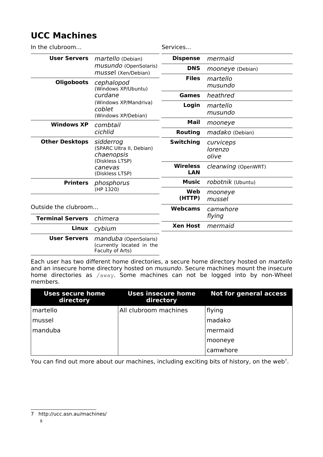### **UCC Machines**

| In the clubroom                    |                                                                                                        | Services                      |                               |
|------------------------------------|--------------------------------------------------------------------------------------------------------|-------------------------------|-------------------------------|
| <b>User Servers</b>                | martello (Debian)<br>musundo (OpenSolaris)<br>mussel (Xen/Debian)                                      | <b>Dispense</b>               | mermaid                       |
|                                    |                                                                                                        | <b>DNS</b>                    | mooneye (Debian)              |
| <b>Oligoboots</b>                  | cephalopod<br>(Windows XP/Ubuntu)<br>curdane<br>(Windows XP/Mandriva)<br>coblet<br>(Windows XP/Debian) | <b>Files</b>                  | martello<br>musundo           |
|                                    |                                                                                                        | <b>Games</b>                  | heathred                      |
|                                    |                                                                                                        | Login                         | martello<br>musundo           |
| <b>Windows XP</b>                  | combtail<br>cichlid                                                                                    | Mail                          | mooneye                       |
|                                    |                                                                                                        | <b>Routing</b>                | madako (Debian)               |
| <b>Other Desktops</b>              | sidderrog<br>(SPARC Ultra II, Debian)<br>chaenopsis<br>(Diskless LTSP)<br>canevas<br>(Diskless LTSP)   | <b>Switching</b>              | curviceps<br>lorenzo<br>olive |
|                                    |                                                                                                        | <b>Wireless</b><br><b>LAN</b> | clearwing (OpenWRT)           |
| <b>Printers</b>                    | phosphorus<br>(HP 1320)                                                                                | Music                         | robotnik (Ubuntu)             |
|                                    |                                                                                                        | Web<br>(HTTP)                 | mooneye<br>mussel             |
| Outside the clubroom               |                                                                                                        | <b>Webcams</b>                | camwhore                      |
| <b>Terminal Servers</b><br>chimera |                                                                                                        |                               | flying                        |
| Linux                              | cybium                                                                                                 | <b>Xen Host</b>               | mermaid                       |
| <b>User Servers</b>                | manduba (OpenSolaris)<br>(currently located in the<br>Faculty of Arts)                                 |                               |                               |

Each user has two different home directories, a secure home directory hosted on martello and an insecure home directory hosted on musundo. Secure machines mount the insecure home directories as /away. Some machines can not be logged into by non-Wheel members.

| <b>Uses secure home</b><br>directory | Uses insecure home<br>directory | <b>Not for general access</b> |
|--------------------------------------|---------------------------------|-------------------------------|
| martello                             | All clubroom machines           | flying                        |
| mussel                               |                                 | madako                        |
| manduba                              |                                 | mermaid                       |
|                                      |                                 | mooneye                       |
|                                      |                                 | camwhore                      |

You can find out more about our machines, including exciting bits of history, on the web<sup>[7](#page-7-0)</sup>.

<span id="page-7-0"></span><sup>7</sup> http://ucc.asn.au/machines/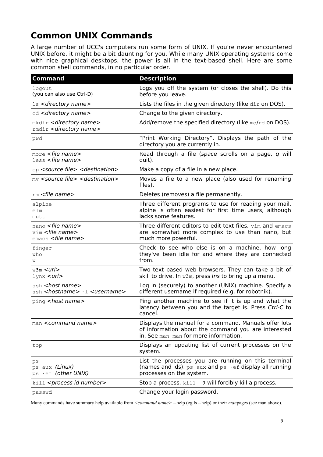### **Common UNIX Commands**

A large number of UCC's computers run some form of UNIX. If you're never encountered UNIX before, it might be a bit daunting for you. While many UNIX operating systems come with nice graphical desktops, the power is all in the text-based shell. Here are some common shell commands, in no particular order.

| <b>Command</b>                                                                                        | <b>Description</b>                                                                                                                                    |
|-------------------------------------------------------------------------------------------------------|-------------------------------------------------------------------------------------------------------------------------------------------------------|
| logout<br>(you can also use Ctrl-D)                                                                   | Logs you off the system (or closes the shell). Do this<br>before you leave.                                                                           |
| $\text{ls}$ < directory name>                                                                         | Lists the files in the given directory (like $\text{dir}$ on DOS).                                                                                    |
| cd <directory name=""></directory>                                                                    | Change to the given directory.                                                                                                                        |
| mkdir < directory name><br>rmdir < directory name>                                                    | Add/remove the specified directory (like $md/rd$ on DOS).                                                                                             |
| pwd                                                                                                   | "Print Working Directory". Displays the path of the<br>directory you are currently in.                                                                |
| $more$ <file name=""><br/>less <file name=""></file></file>                                           | Read through a file (space scrolls on a page, q will<br>quit).                                                                                        |
| cp <source file=""/> <destination></destination>                                                      | Make a copy of a file in a new place.                                                                                                                 |
| $mv$ <source file=""/> <destination></destination>                                                    | Moves a file to a new place (also used for renaming<br>files).                                                                                        |
| $rm$ <file name=""></file>                                                                            | Deletes (removes) a file permanently.                                                                                                                 |
| alpine<br>elm<br>mutt                                                                                 | Three different programs to use for reading your mail.<br>alpine is often easiest for first time users, although<br>lacks some features.              |
| nano <file name=""><br/><math>vim</math> <file name=""><br/>emacs <file name=""></file></file></file> | Three different editors to edit text files. vim and emacs<br>are somewhat more complex to use than nano, but<br>much more powerful.                   |
| finger<br>who<br>W                                                                                    | Check to see who else is on a machine, how long<br>they've been idle for and where they are connected<br>from.                                        |
| $w3m$ $\lt$ url $>$<br>$1$ ynx $\leq$ url $>$                                                         | Two text based web browsers. They can take a bit of<br>skill to drive. In $w3m$ , press Ins to bring up a menu.                                       |
| ssh <host name=""><br/>ssh <hostname> -1 <username></username></hostname></host>                      | Log in (securely) to another (UNIX) machine. Specify a<br>different username if required (e.g. for robotnik).                                         |
| ping <host name=""></host>                                                                            | Ping another machine to see if it is up and what the<br>latency between you and the target is. Press Ctrl-C to<br>cancel.                             |
| man <command name=""/>                                                                                | Displays the manual for a command. Manuals offer lots<br>of information about the command you are interested<br>in. See man man for more information. |
| top                                                                                                   | Displays an updating list of current processes on the<br>system.                                                                                      |
| ps<br>ps aux (Linux)<br>ps - ef (other UNIX)                                                          | List the processes you are running on this terminal<br>(names and ids). $ps$ aux and $ps$ -ef display all running<br>processes on the system.         |
| kill <process id="" number=""></process>                                                              | Stop a process. kill -9 will forcibly kill a process.                                                                                                 |
| passwd                                                                                                | Change your login password.                                                                                                                           |

Many commands have summary help available from *<command name>* --help (eg ls --help) or their *man*pages (see man above).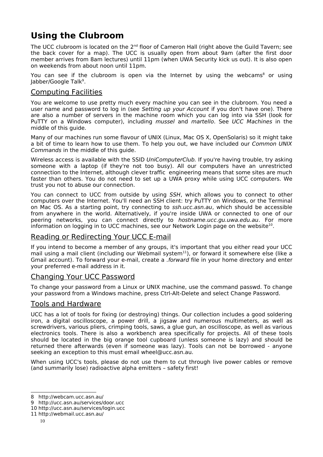### **Using the Clubroom**

The UCC clubroom is located on the  $2^{nd}$  floor of Cameron Hall (right above the Guild Tavern; see the back cover for a map). The UCC is usually open from about 9am (after the first door member arrives from 8am lectures) until 11pm (when UWA Security kick us out). It is also open on weekends from about noon until 11pm.

You can see if the clubroom is open via the Internet by using the webcams<sup>[8](#page-9-0)</sup> or using Jabber/Google Talk<sup>[9](#page-9-1)</sup>.

#### Computing Facilities

You are welcome to use pretty much every machine you can see in the clubroom. You need a user name and password to log in (see Setting up your Account if you don't have one). There are also a number of servers in the machine room which you can log into via SSH (look for PuTTY on a Windows computer), including *mussel* and *martello*. See UCC Machines in the middle of this guide.

Many of our machines run some flavour of UNIX (Linux, Mac OS X, OpenSolaris) so it might take a bit of time to learn how to use them. To help you out, we have included our Common UNIX Commands in the middle of this guide.

Wireless access is available with the SSID UniComputerClub. If you're having trouble, try asking someone with a laptop (if they're not too busy). All our computers have an unrestricted connection to the Internet, although clever traffic engineering means that some sites are much faster than others. You do not need to set up a UWA proxy while using UCC computers. We trust you not to abuse our connection.

You can connect to UCC from outside by using SSH, which allows you to connect to other computers over the Internet. You'll need an SSH client: try PuTTY on Windows, or the Terminal on Mac OS. As a starting point, try connecting to ssh.ucc.asn.au, which should be accessible from anywhere in the world. Alternatively, if you're inside UWA or connected to one of our peering networks, you can connect directly to hostname.ucc.gu.uwa.edu.au. For more information on logging in to UCC machines, see our Network Login page on the website $^{10}$  $^{10}$  $^{10}$ .

#### Reading or Redirecting Your UCC E-mail

If you intend to become a member of any groups, it's important that you either read your UCC mail using a mail client (including our Webmail system<sup>[11](#page-9-3)</sup>), or forward it somewhere else (like a Gmail account). To forward your e-mail, create a .forward file in your home directory and enter your preferred e-mail address in it.

#### Changing Your UCC Password

To change your password from a Linux or UNIX machine, use the command passwd. To change your password from a Windows machine, press Ctrl-Alt-Delete and select Change Password.

#### Tools and Hardware

UCC has a lot of tools for fixing (or destroying) things. Our collection includes a good soldering iron, a digital oscilloscope, a power drill, a jigsaw and numerous multimeters, as well as screwdrivers, various pliers, crimping tools, saws, a glue gun, an oscilloscope, as well as various electronics tools. There is also a workbench area specifically for projects. All of these tools should be located in the big orange tool cupboard (unless someone is lazy) and should be returned there afterwards (even if someone was lazy). Tools can not be borrowed - anyone seeking an exception to this must email wheel@ucc.asn.au.

When using UCC's tools, please do not use them to cut through live power cables or remove (and summarily lose) radioactive alpha emitters – safety first!

<span id="page-9-0"></span><sup>8</sup> http://webcam.ucc.asn.au/

<span id="page-9-1"></span><sup>9</sup> http://ucc.asn.au/services/door.ucc

<span id="page-9-2"></span><sup>10</sup> http://ucc.asn.au/services/login.ucc

<span id="page-9-3"></span><sup>11</sup> http://webmail.ucc.asn.au/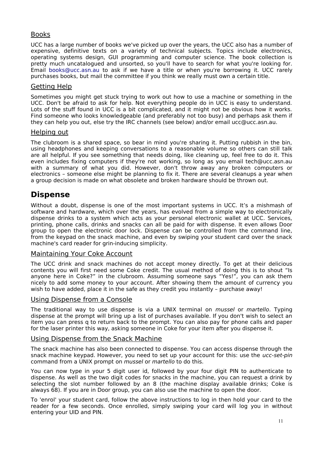#### Books

UCC has a large number of books we've picked up over the years, the UCC also has a number of expensive, definitive texts on a variety of technical subjects. Topics include electronics, operating systems design, GUI programming and computer science. The book collection is pretty much uncatalogued and unsorted, so you'll have to search for what you're looking for. Email [books@ucc.asn.au](mailto:books@ucc.asn.au) to ask if we have a title or when you're borrowing it. UCC rarely purchases books, but mail the committee if you think we really must own a certain title.

#### Getting Help

Sometimes you might get stuck trying to work out how to use a machine or something in the UCC. Don't be afraid to ask for help. Not everything people do in UCC is easy to understand. Lots of the stuff found in UCC is a bit complicated, and it might not be obvious how it works. Find someone who looks knowledgeable (and preferably not too busy) and perhaps ask them if they can help you out, else try the IRC channels (see below) and/or email ucc@ucc.asn.au.

#### Helping out

The clubroom is a shared space, so bear in mind you're sharing it. Putting rubbish in the bin, using headphones and keeping conversations to a reasonable volume so others can still talk are all helpful. If you see something that needs doing, like cleaning up, feel free to do it. This even includes fixing computers if they're not working, so long as you email tech@ucc.asn.au with a summary of what you did. However, don't throw away any broken computers or electronics – someone else might be planning to fix it. There are several cleanups a year when a group decision is made on what obsolete and broken hardware should be thrown out.

### **Dispense**

Without a doubt, dispense is one of the most important systems in UCC. It's a mishmash of software and hardware, which over the years, has evolved from a simple way to electronically dispense drinks to a system which acts as your personal electronic wallet at UCC. Services, printing, phone calls, drinks and snacks can all be paid for with dispense. It even allows Door group to open the electronic door lock. Dispense can be controlled from the command line, from the keypad on the snack machine, and even by swiping your student card over the snack machine's card reader for grin-inducing simplicity.

#### Maintaining Your Coke Account

The UCC drink and snack machines do not accept money directly. To get at their delicious contents you will first need some Coke credit. The usual method of doing this is to shout "Is anyone here in Coke?" in the clubroom. Assuming someone says "Yes!", you can ask them nicely to add some money to your account. After showing them the amount of currency you wish to have added, place it in the safe as they credit you instantly - purchase away!

#### Using Dispense from a Console

The traditional way to use dispense is via a UNIX terminal on *mussel* or *martello*. Typing dispense at the prompt will bring up a list of purchases available. If you don't wish to select an item you can press q to return back to the prompt. You can also pay for phone calls and paper for the laser printer this way, asking someone in Coke for your item after you dispense it.

#### Using Dispense from the Snack Machine

The snack machine has also been connected to dispense. You can access dispense through the snack machine keypad. However, you need to set up your account for this: use the ucc-set-pin command from a UNIX prompt on mussel or martello to do this.

You can now type in your 5 digit user id, followed by your four digit PIN to authenticate to dispense. As well as the two digit codes for snacks in the machine, you can request a drink by selecting the slot number followed by an 8 (the machine display available drinks; Coke is always 68). If you are in Door group, you can also use the machine to open the door.

To 'enrol' your student card, follow the above instructions to log in then hold your card to the reader for a few seconds. Once enrolled, simply swiping your card will log you in without entering your UID and PIN.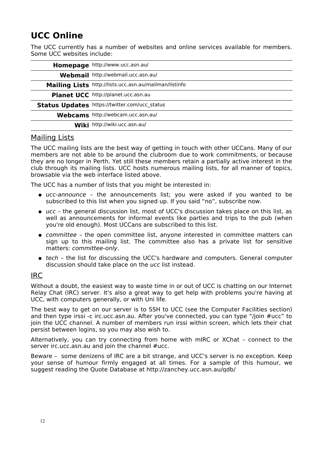### **UCC Online**

The UCC currently has a number of websites and online services available for members. Some UCC websites include:

| Homepage http://www.ucc.asn.au/                        |
|--------------------------------------------------------|
| Webmail http://webmail.ucc.asn.au/                     |
| Mailing Lists http://lists.ucc.asn.au/mailman/listinfo |
| Planet UCC http://planet.ucc.asn.au                    |
| Status Updates https://twitter.com/ucc_status          |
| Webcams http://webcam.ucc.asn.au/                      |
| Wiki http://wiki.ucc.asn.au/                           |

#### Mailing Lists

The UCC mailing lists are the best way of getting in touch with other UCCans. Many of our members are not able to be around the clubroom due to work commitments, or because they are no longer in Perth. Yet still these members retain a partially active interest in the club through its mailing lists. UCC hosts numerous mailing lists, for all manner of topics, browsable via the web interface listed above.

The UCC has a number of lists that you might be interested in:

- ucc-announce the announcements list; you were asked if you wanted to be subscribed to this list when you signed up. If you said "no", subscribe now.
- ucc the general discussion list, most of UCC's discussion takes place on this list, as well as announcements for informal events like parties and trips to the pub (when you're old enough). Most UCCans are subscribed to this list.
- committee the open committee list, anyone interested in committee matters can sign up to this mailing list. The committee also has a private list for sensitive matters: committee-only.
- tech the list for discussing the UCC's hardware and computers. General computer discussion should take place on the ucc list instead.

#### IRC

Without a doubt, the easiest way to waste time in or out of UCC is chatting on our Internet Relay Chat (IRC) server. It's also a great way to get help with problems you're having at UCC, with computers generally, or with Uni life.

The best way to get on our server is to SSH to UCC (see the Computer Facilities section) and then type irssi -c irc.ucc.asn.au. After you've connected, you can type "/join #ucc" to join the UCC channel. A number of members run irssi within screen, which lets their chat persist between logins, so you may also wish to.

Alternatively, you can try connecting from home with mIRC or XChat – connect to the server irc.ucc.asn.au and join the channel #ucc.

Beware – some denizens of IRC are a bit strange, and UCC's server is no exception. Keep your sense of humour firmly engaged at all times. For a sample of this humour, we suggest reading the Quote Database at http://zanchey.ucc.asn.au/qdb/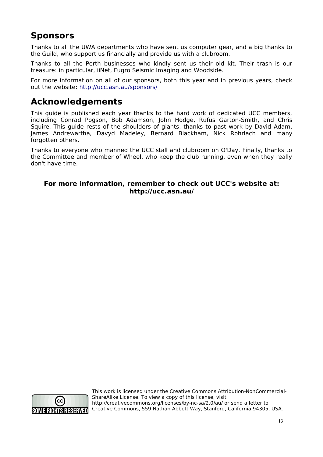### **Sponsors**

Thanks to all the UWA departments who have sent us computer gear, and a big thanks to the Guild, who support us financially and provide us with a clubroom.

Thanks to all the Perth businesses who kindly sent us their old kit. Their trash is our treasure: in particular, iiNet, Fugro Seismic Imaging and Woodside.

For more information on all of our sponsors, both this year and in previous years, check out the website: [http://ucc.asn.au/sponsors/](http://www.ucc.asn.au/sponsors/)

### **Acknowledgements**

This guide is published each year thanks to the hard work of dedicated UCC members, including Conrad Pogson, Bob Adamson, John Hodge, Rufus Garton-Smith, and Chris Squire. This guide rests of the shoulders of giants, thanks to past work by David Adam, James Andrewartha, Davyd Madeley, Bernard Blackham, Nick Rohrlach and many forgotten others.

Thanks to everyone who manned the UCC stall and clubroom on O'Day. Finally, thanks to the Committee and member of Wheel, who keep the club running, even when they really don't have time.

#### **For more information, remember to check out UCC's website at: http://ucc.asn.au/**



This work is licensed under the Creative Commons Attribution-NonCommercial-ShareAlike License. To view a copy of this license, visit http://creativecommons.org/licenses/by-nc-sa/2.0/au/ or send a letter to Creative Commons, 559 Nathan Abbott Way, Stanford, California 94305, USA.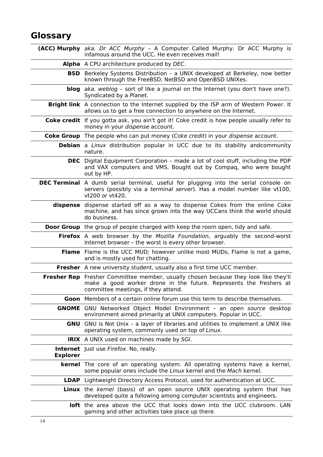### **Glossary**

|                 | (ACC) Murphy aka. Dr ACC Murphy - A Computer Called Murphy. Dr ACC Murphy is<br>infamous around the UCC. He even receives mail!                                                                         |
|-----------------|---------------------------------------------------------------------------------------------------------------------------------------------------------------------------------------------------------|
|                 | Alpha A CPU architecture produced by DEC.                                                                                                                                                               |
|                 | <b>BSD</b> Berkeley Systems Distribution - a UNIX developed at Berkeley, now better<br>known through the FreeBSD, NetBSD and OpenBSD UNIXes.                                                            |
|                 | <b>blog</b> aka. weblog - sort of like a journal on the Internet (you don't have one?).<br>Syndicated by a Planet.                                                                                      |
|                 | Bright link A connection to the Internet supplied by the ISP arm of Western Power. It<br>allows us to get a free connection to anywhere on the Internet.                                                |
|                 | Coke credit If you gotta ask, you ain't got it! Coke credit is how people usually refer to<br>money in your dispense account.                                                                           |
|                 | <b>Coke Group</b> The people who can put money (Coke credit) in your dispense account.                                                                                                                  |
|                 | <b>Debian</b> a Linux distribution popular in UCC due to its stability andcommunity<br>nature.                                                                                                          |
|                 | <b>DEC</b> Digital Equipment Corporation - made a lot of cool stuff, including the PDP<br>and VAX computers and VMS. Bought out by Compag, who were bought<br>out by HP.                                |
|                 | <b>DEC Terminal</b> A dumb serial terminal, useful for plugging into the serial console on<br>servers (possibly via a terminal server). Has a model number like vt100,<br>vt200 or vt420.               |
| dispense        | dispense started off as a way to dispense Cokes from the online Coke<br>machine, and has since grown into the way UCCans think the world should<br>do business.                                         |
|                 | Door Group the group of people charged with keep the room open, tidy and safe.                                                                                                                          |
|                 | Firefox A web browser by the Mozilla Foundation, arguably the second-worst<br>Internet browser - the worst is every other browser.                                                                      |
|                 | <b>Flame</b> Flame is the UCC MUD; however unlike most MUDs, Flame is not a game,<br>and is mostly used for chatting.                                                                                   |
|                 | Fresher A new university student, usually also a first time UCC member.                                                                                                                                 |
|                 | <b>Fresher Rep</b> Fresher Committee member, usually chosen because they look like they'll<br>make a good worker drone in the future. Represents the freshers at<br>committee meetings, if they attend. |
|                 | <b>Goon</b> Members of a certain online forum use this term to describe themselves.                                                                                                                     |
|                 | <b>GNOME</b> GNU Networked Object Model Environment - an open source desktop<br>environment aimed primarily at UNIX computers. Popular in UCC.                                                          |
|                 | <b>GNU</b> GNU is Not Unix - a layer of libraries and utilities to implement a UNIX like<br>operating system, commonly used on top of Linux.                                                            |
|                 | <b>IRIX</b> A UNIX used on machines made by SGI.                                                                                                                                                        |
| <b>Explorer</b> | <b>Internet</b> Just use Firefox. No, really.                                                                                                                                                           |
|                 | <b>kernel</b> The core of an operating system. All operating systems have a kernel,<br>some popular ones include the Linux kernel and the Mach kernel.                                                  |
|                 | <b>LDAP</b> Lightweight Directory Access Protocol, used for authentication at UCC.                                                                                                                      |
|                 | <b>Linux</b> the kernel (basis) of an open source UNIX operating system that has<br>developed quite a following among computer scientists and engineers.                                                |
|                 | loft the area above the UCC that looks down into the UCC clubroom. LAN<br>gaming and other activities take place up there.                                                                              |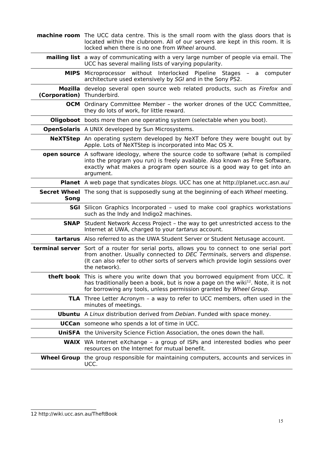|                            | <b>machine room</b> The UCC data centre. This is the small room with the glass doors that is<br>located within the clubroom. All of our servers are kept in this room. It is<br>locked when there is no one from Wheel around.                                            |
|----------------------------|---------------------------------------------------------------------------------------------------------------------------------------------------------------------------------------------------------------------------------------------------------------------------|
|                            | <b>mailing list</b> a way of communicating with a very large number of people via email. The<br>UCC has several mailing lists of varying popularity.                                                                                                                      |
|                            | <b>MIPS</b> Microprocessor without Interlocked Pipeline Stages - a<br>computer<br>architecture used extensively by SGI and in the Sony PS2.                                                                                                                               |
| (Corporation) Thunderbird. | Mozilla develop several open source web related products, such as <i>Firefox</i> and                                                                                                                                                                                      |
|                            | <b>OCM</b> Ordinary Committee Member - the worker drones of the UCC Committee,<br>they do lots of work, for little reward.                                                                                                                                                |
|                            | <b>Oligoboot</b> boots more then one operating system (selectable when you boot).                                                                                                                                                                                         |
|                            | <b>OpenSolaris</b> A UNIX developed by Sun Microsystems.                                                                                                                                                                                                                  |
|                            | NeXTStep An operating system developed by NeXT before they were bought out by<br>Apple. Lots of NeXTStep is incorporated into Mac OS X.                                                                                                                                   |
|                            | open source A software ideology, where the source code to software (what is compiled<br>into the program you run) is freely available. Also known as Free Software,<br>exactly what makes a program open source is a good way to get into an<br>argument.                 |
|                            | <b>Planet</b> A web page that syndicates blogs. UCC has one at http://planet.ucc.asn.au/                                                                                                                                                                                  |
| Song                       | <b>Secret Wheel</b> The song that is supposedly sung at the beginning of each Wheel meeting.                                                                                                                                                                              |
|                            | <b>SGI</b> Silicon Graphics Incorporated - used to make cool graphics workstations<br>such as the Indy and Indigo2 machines.                                                                                                                                              |
| <b>SNAP</b>                | Student Network Access Project - the way to get unrestricted access to the<br>Internet at UWA, charged to your tartarus account.                                                                                                                                          |
|                            | tartarus Also referred to as the UWA Student Server or Student Netusage account.                                                                                                                                                                                          |
|                            | terminal server Sort of a router for serial ports, allows you to connect to one serial port<br>from another. Usually connected to DEC Terminals, servers and dispense.<br>(It can also refer to other sorts of servers which provide login sessions over<br>the network). |
|                            | theft book This is where you write down that you borrowed equipment from UCC. It<br>has traditionally been a book, but is now a page on the wiki <sup>12</sup> . Note, it is not<br>for borrowing any tools, unless permission granted by Wheel Group.                    |
|                            | <b>TLA</b> Three Letter Acronym - a way to refer to UCC members, often used in the<br>minutes of meetings.                                                                                                                                                                |
|                            | <b>Ubuntu</b> A Linux distribution derived from Debian. Funded with space money.                                                                                                                                                                                          |
|                            | <b>UCCan</b> someone who spends a lot of time in UCC.                                                                                                                                                                                                                     |
|                            | <b>UniSFA</b> the University Science Fiction Association, the ones down the hall.                                                                                                                                                                                         |
|                            | <b>WAIX</b> WA Internet eXchange - a group of ISPs and interested bodies who peer<br>resources on the Internet for mutual benefit.                                                                                                                                        |
|                            | <b>Wheel Group</b> the group responsible for maintaining computers, accounts and services in<br>UCC.                                                                                                                                                                      |

<span id="page-14-0"></span><sup>12</sup> http://wiki.ucc.asn.au/TheftBook